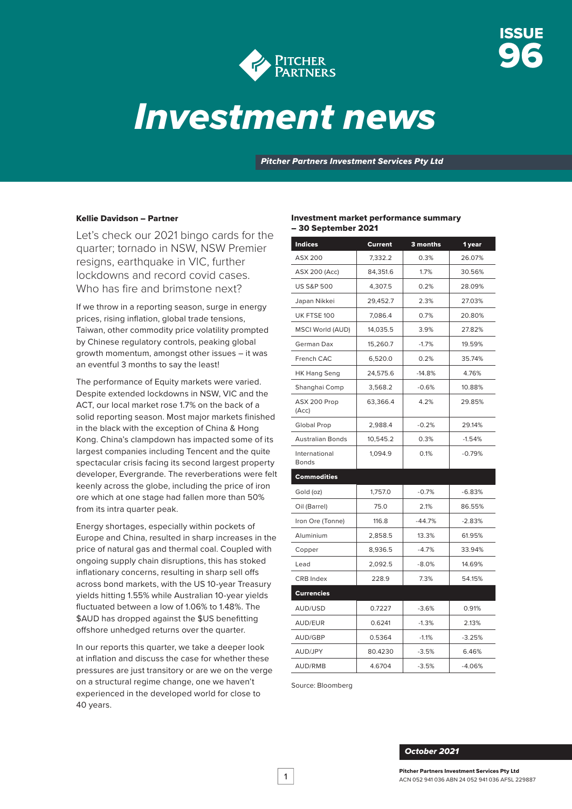

# *Investment news*

*Pitcher Partners Investment Services Pty Ltd*

### Kellie Davidson – Partner

Let's check our 2021 bingo cards for the quarter; tornado in NSW, NSW Premier resigns, earthquake in VIC, further lockdowns and record covid cases. Who has fire and brimstone next?

If we throw in a reporting season, surge in energy prices, rising inflation, global trade tensions, Taiwan, other commodity price volatility prompted by Chinese regulatory controls, peaking global growth momentum, amongst other issues – it was an eventful 3 months to say the least!

The performance of Equity markets were varied. Despite extended lockdowns in NSW, VIC and the ACT, our local market rose 1.7% on the back of a solid reporting season. Most major markets finished in the black with the exception of China & Hong Kong. China's clampdown has impacted some of its largest companies including Tencent and the quite spectacular crisis facing its second largest property developer, Evergrande. The reverberations were felt keenly across the globe, including the price of iron ore which at one stage had fallen more than 50% from its intra quarter peak.

Energy shortages, especially within pockets of Europe and China, resulted in sharp increases in the price of natural gas and thermal coal. Coupled with ongoing supply chain disruptions, this has stoked inflationary concerns, resulting in sharp sell offs across bond markets, with the US 10-year Treasury yields hitting 1.55% while Australian 10-year yields fluctuated between a low of 1.06% to 1.48%. The \$AUD has dropped against the \$US benefitting offshore unhedged returns over the quarter.

In our reports this quarter, we take a deeper look at inflation and discuss the case for whether these pressures are just transitory or are we on the verge on a structural regime change, one we haven't experienced in the developed world for close to 40 years.

#### Investment market performance summary – 30 September 2021

| <b>Indices</b>                | <b>Current</b> | 3 months | 1 year   |
|-------------------------------|----------------|----------|----------|
| <b>ASX 200</b>                | 7,332.2        | 0.3%     | 26.07%   |
| <b>ASX 200 (Acc)</b>          | 84,351.6       | 1.7%     | 30.56%   |
| <b>US S&amp;P 500</b>         | 4,307.5        | 0.2%     | 28.09%   |
| Japan Nikkei                  | 29,452.7       | 2.3%     | 27.03%   |
| UK FTSE 100                   | 7,086.4        | 0.7%     | 20.80%   |
| <b>MSCI World (AUD)</b>       | 14,035.5       | 3.9%     | 27.82%   |
| German Dax                    | 15,260.7       | $-1.7%$  | 19.59%   |
| French CAC                    | 6,520.0        | 0.2%     | 35.74%   |
| HK Hang Seng                  | 24,575.6       | $-14.8%$ | 4.76%    |
| Shanghai Comp                 | 3,568.2        | $-0.6%$  | 10.88%   |
| ASX 200 Prop<br>(Acc)         | 63,366.4       | 4.2%     | 29.85%   |
| Global Prop                   | 2,988.4        | $-0.2%$  | 29.14%   |
| <b>Australian Bonds</b>       | 10,545.2       | 0.3%     | $-1.54%$ |
| International<br><b>Bonds</b> | 1,094.9        | 0.1%     | $-0.79%$ |
| Commodities                   |                |          |          |
| Gold (oz)                     | 1,757.0        | $-0.7%$  | $-6.83%$ |
| Oil (Barrel)                  | 75.0           | 2.1%     | 86.55%   |
| Iron Ore (Tonne)              | 116.8          | $-44.7%$ | $-2.83%$ |
| Aluminium                     | 2,858.5        | 13.3%    | 61.95%   |
| Copper                        | 8,936.5        | $-4.7%$  | 33.94%   |
| Lead                          | 2,092.5        | $-8.0%$  | 14.69%   |
| <b>CRB</b> Index              | 228.9          | 7.3%     | 54.15%   |
| <b>Currencies</b>             |                |          |          |
| AUD/USD                       | 0.7227         | $-3.6%$  | 0.91%    |
| <b>AUD/EUR</b>                | 0.6241         | $-1.3%$  | 2.13%    |
| AUD/GBP                       | 0.5364         | $-1.1%$  | $-3.25%$ |
| AUD/JPY                       | 80.4230        | $-3.5%$  | 6.46%    |
| AUD/RMB                       | 4.6704         | $-3.5%$  | $-4.06%$ |

Source: Bloomberg

#### *October 2021*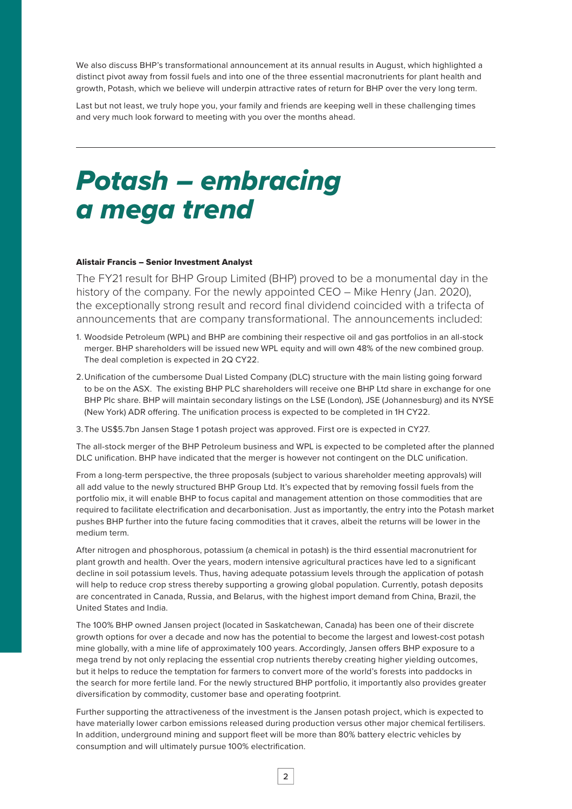We also discuss BHP's transformational announcement at its annual results in August, which highlighted a distinct pivot away from fossil fuels and into one of the three essential macronutrients for plant health and growth, Potash, which we believe will underpin attractive rates of return for BHP over the very long term.

Last but not least, we truly hope you, your family and friends are keeping well in these challenging times and very much look forward to meeting with you over the months ahead.

# *Potash – embracing a mega trend*

#### Alistair Francis – Senior Investment Analyst

The FY21 result for BHP Group Limited (BHP) proved to be a monumental day in the history of the company. For the newly appointed CEO – Mike Henry (Jan. 2020), the exceptionally strong result and record final dividend coincided with a trifecta of announcements that are company transformational. The announcements included:

- 1. Woodside Petroleum (WPL) and BHP are combining their respective oil and gas portfolios in an all-stock merger. BHP shareholders will be issued new WPL equity and will own 48% of the new combined group. The deal completion is expected in 2Q CY22.
- 2.Unification of the cumbersome Dual Listed Company (DLC) structure with the main listing going forward to be on the ASX. The existing BHP PLC shareholders will receive one BHP Ltd share in exchange for one BHP Plc share. BHP will maintain secondary listings on the LSE (London), JSE (Johannesburg) and its NYSE (New York) ADR offering. The unification process is expected to be completed in 1H CY22.

3. The US\$5.7bn Jansen Stage 1 potash project was approved. First ore is expected in CY27.

The all-stock merger of the BHP Petroleum business and WPL is expected to be completed after the planned DLC unification. BHP have indicated that the merger is however not contingent on the DLC unification.

From a long-term perspective, the three proposals (subject to various shareholder meeting approvals) will all add value to the newly structured BHP Group Ltd. It's expected that by removing fossil fuels from the portfolio mix, it will enable BHP to focus capital and management attention on those commodities that are required to facilitate electrification and decarbonisation. Just as importantly, the entry into the Potash market pushes BHP further into the future facing commodities that it craves, albeit the returns will be lower in the medium term.

After nitrogen and phosphorous, potassium (a chemical in potash) is the third essential macronutrient for plant growth and health. Over the years, modern intensive agricultural practices have led to a significant decline in soil potassium levels. Thus, having adequate potassium levels through the application of potash will help to reduce crop stress thereby supporting a growing global population. Currently, potash deposits are concentrated in Canada, Russia, and Belarus, with the highest import demand from China, Brazil, the United States and India.

The 100% BHP owned Jansen project (located in Saskatchewan, Canada) has been one of their discrete growth options for over a decade and now has the potential to become the largest and lowest-cost potash mine globally, with a mine life of approximately 100 years. Accordingly, Jansen offers BHP exposure to a mega trend by not only replacing the essential crop nutrients thereby creating higher yielding outcomes, but it helps to reduce the temptation for farmers to convert more of the world's forests into paddocks in the search for more fertile land. For the newly structured BHP portfolio, it importantly also provides greater diversification by commodity, customer base and operating footprint.

Further supporting the attractiveness of the investment is the Jansen potash project, which is expected to have materially lower carbon emissions released during production versus other major chemical fertilisers. In addition, underground mining and support fleet will be more than 80% battery electric vehicles by consumption and will ultimately pursue 100% electrification.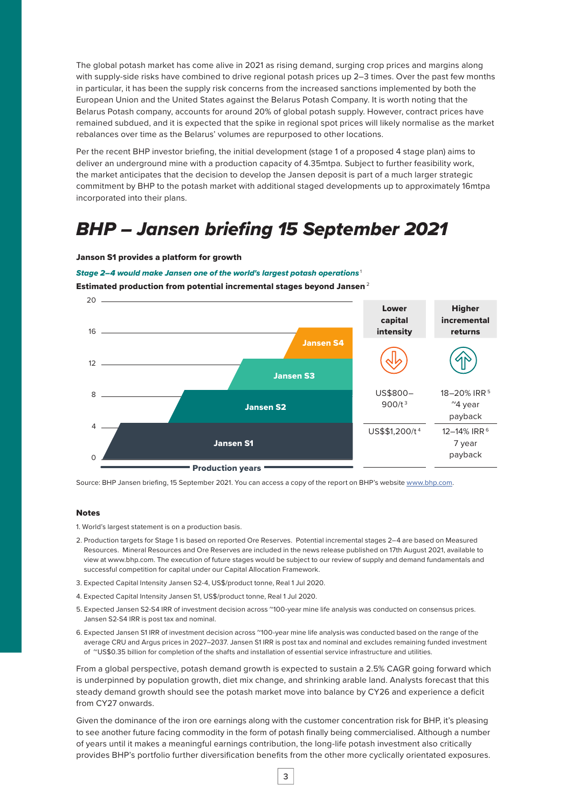The global potash market has come alive in 2021 as rising demand, surging crop prices and margins along with supply-side risks have combined to drive regional potash prices up 2–3 times. Over the past few months in particular, it has been the supply risk concerns from the increased sanctions implemented by both the European Union and the United States against the Belarus Potash Company. It is worth noting that the Belarus Potash company, accounts for around 20% of global potash supply. However, contract prices have remained subdued, and it is expected that the spike in regional spot prices will likely normalise as the market rebalances over time as the Belarus' volumes are repurposed to other locations.

Per the recent BHP investor briefing, the initial development (stage 1 of a proposed 4 stage plan) aims to deliver an underground mine with a production capacity of 4.35mtpa. Subject to further feasibility work, the market anticipates that the decision to develop the Jansen deposit is part of a much larger strategic commitment by BHP to the potash market with additional staged developments up to approximately 16mtpa incorporated into their plans.

## *BHP – Jansen briefing 15 September 2021*

#### Janson S1 provides a platform for growth

#### *Stage 2–4 would make Jansen one of the world's largest potash operations*<sup>1</sup>

Estimated production from potential incremental stages beyond Jansen $^2$ 



Source: BHP Jansen briefing, 15 September 2021. You can access a copy of the report on BHP's website [www.bhp.com.](http://www.bhp.com)

#### Notes

1. World's largest statement is on a production basis.

- 2. Production targets for Stage 1 is based on reported Ore Reserves. Potential incremental stages 2–4 are based on Measured Resources. Mineral Resources and Ore Reserves are included in the news release published on 17th August 2021, available to view at www.bhp.com. The execution of future stages would be subject to our review of supply and demand fundamentals and successful competition for capital under our Capital Allocation Framework.
- 3. Expected Capital Intensity Jansen S2-4, US\$/product tonne, Real 1 Jul 2020.
- 4. Expected Capital Intensity Jansen S1, US\$/product tonne, Real 1 Jul 2020.
- 5. Expected Jansen S2-S4 IRR of investment decision across ~100-year mine life analysis was conducted on consensus prices. Jansen S2-S4 IRR is post tax and nominal.
- 6. Expected Jansen S1 IRR of investment decision across "100-year mine life analysis was conducted based on the range of the average CRU and Argus prices in 2027–2037. Jansen S1 IRR is post tax and nominal and excludes remaining funded investment of ~US\$0.35 billion for completion of the shafts and installation of essential service infrastructure and utilities.

From a global perspective, potash demand growth is expected to sustain a 2.5% CAGR going forward which is underpinned by population growth, diet mix change, and shrinking arable land. Analysts forecast that this steady demand growth should see the potash market move into balance by CY26 and experience a deficit from CY27 onwards.

Given the dominance of the iron ore earnings along with the customer concentration risk for BHP, it's pleasing to see another future facing commodity in the form of potash finally being commercialised. Although a number of years until it makes a meaningful earnings contribution, the long-life potash investment also critically provides BHP's portfolio further diversification benefits from the other more cyclically orientated exposures.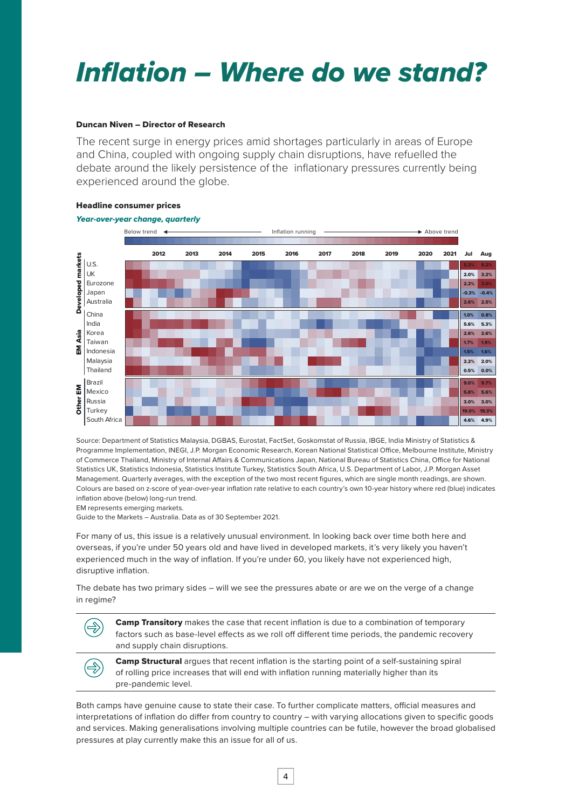# *Inflation – Where do we stand?*

### Duncan Niven – Director of Research

The recent surge in energy prices amid shortages particularly in areas of Europe and China, coupled with ongoing supply chain disruptions, have refuelled the debate around the likely persistence of the inflationary pressures currently being experienced around the globe.



### Headline consumer prices

Source: Department of Statistics Malaysia, DGBAS, Eurostat, FactSet, Goskomstat of Russia, IBGE, India Ministry of Statistics & Programme Implementation, INEGI, J.P. Morgan Economic Research, Korean National Statistical Office, Melbourne Institute, Ministry of Commerce Thailand, Ministry of Internal Affairs & Communications Japan, National Bureau of Statistics China, Office for National Statistics UK, Statistics Indonesia, Statistics Institute Turkey, Statistics South Africa, U.S. Department of Labor, J.P. Morgan Asset Management. Quarterly averages, with the exception of the two most recent figures, which are single month readings, are shown. Colours are based on z-score of year-over-year inflation rate relative to each country's own 10-year history where red (blue) indicates inflation above (below) long-run trend.

EM represents emerging markets.

Guide to the Markets – Australia. Data as of 30 September 2021.

For many of us, this issue is a relatively unusual environment. In looking back over time both here and overseas, if you're under 50 years old and have lived in developed markets, it's very likely you haven't experienced much in the way of inflation. If you're under 60, you likely have not experienced high, disruptive inflation.

The debate has two primary sides – will we see the pressures abate or are we on the verge of a change in regime?

**Camp Transitory** makes the case that recent inflation is due to a combination of temporary factors such as base-level effects as we roll off different time periods, the pandemic recovery and supply chain disruptions. Camp Structural argues that recent inflation is the starting point of a self-sustaining spiral

of rolling price increases that will end with inflation running materially higher than its pre-pandemic level.

Both camps have genuine cause to state their case. To further complicate matters, official measures and interpretations of inflation do differ from country to country – with varying allocations given to specific goods and services. Making generalisations involving multiple countries can be futile, however the broad globalised pressures at play currently make this an issue for all of us.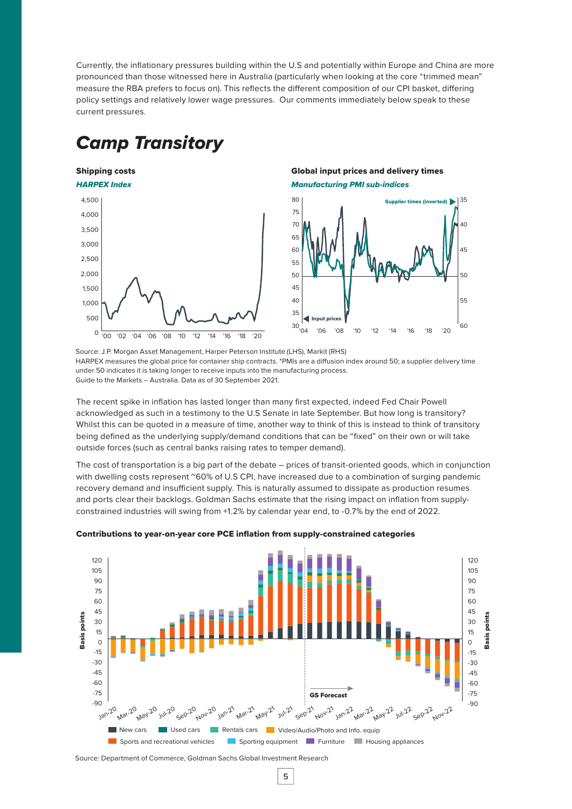Currently, the inflationary pressures building within the U.S and potentially within Europe and China are more pronounced than those witnessed here in Australia (particularly when looking at the core "trimmed mean" measure the RBA prefers to focus on). This reflects the different composition of our CPI basket, differing policy settings and relatively lower wage pressures. Our comments immediately below speak to these current pressures.

## *Camp Transitory*

### Shipping costs



### Global input prices and delivery times *Manufacturing PMI sub-indices*



Source: J.P. Morgan Asset Management, Harper Peterson Institute (LHS), Markit (RHS) HARPEX measures the global price for container ship contracts. \*PMIs are a diffusion index around 50; a supplier delivery time under 50 indicates it is taking longer to receive inputs into the manufacturing process. Guide to the Markets – Australia. Data as of 30 September 2021.

The recent spike in inflation has lasted longer than many first expected, indeed Fed Chair Powell acknowledged as such in a testimony to the U.S Senate in late September. But how long is transitory? Whilst this can be quoted in a measure of time, another way to think of this is instead to think of transitory being defined as the underlying supply/demand conditions that can be "fixed" on their own or will take outside forces (such as central banks raising rates to temper demand).

The cost of transportation is a big part of the debate – prices of transit-oriented goods, which in conjunction with dwelling costs represent ~60% of U.S CPI, have increased due to a combination of surging pandemic recovery demand and insufficient supply. This is naturally assumed to dissipate as production resumes and ports clear their backlogs. Goldman Sachs estimate that the rising impact on inflation from supplyconstrained industries will swing from +1.2% by calendar year end, to -0.7% by the end of 2022.



Contributions to year-on-year core PCE inflation from supply-constrained categories

Source: Department of Commerce, Goldman Sachs Global Investment Research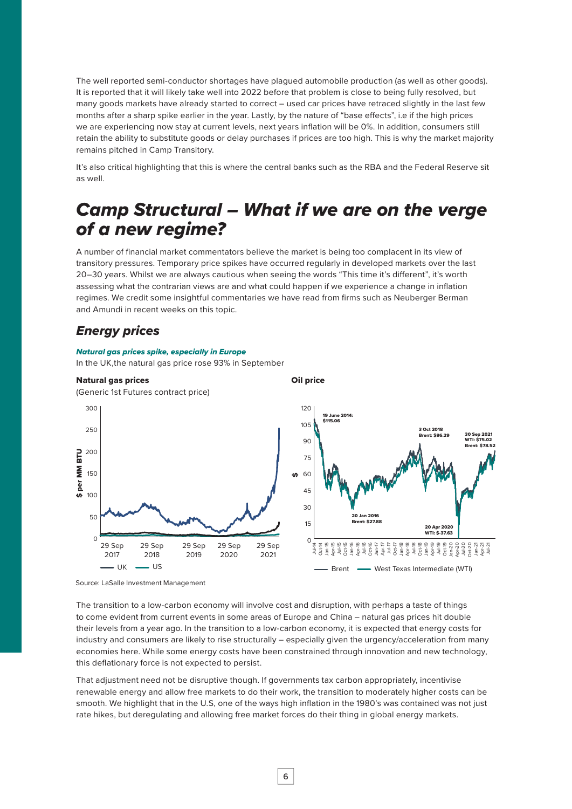The well reported semi-conductor shortages have plagued automobile production (as well as other goods). It is reported that it will likely take well into 2022 before that problem is close to being fully resolved, but many goods markets have already started to correct – used car prices have retraced slightly in the last few months after a sharp spike earlier in the year. Lastly, by the nature of "base effects", i.e if the high prices we are experiencing now stay at current levels, next years inflation will be 0%. In addition, consumers still retain the ability to substitute goods or delay purchases if prices are too high. This is why the market majority remains pitched in Camp Transitory.

It's also critical highlighting that this is where the central banks such as the RBA and the Federal Reserve sit as well.

## *Camp Structural – What if we are on the verge of a new regime?*

A number of financial market commentators believe the market is being too complacent in its view of transitory pressures. Temporary price spikes have occurred regularly in developed markets over the last 20–30 years. Whilst we are always cautious when seeing the words "This time it's different", it's worth assessing what the contrarian views are and what could happen if we experience a change in inflation regimes. We credit some insightful commentaries we have read from firms such as Neuberger Berman and Amundi in recent weeks on this topic.

### *Energy prices*

#### *Natural gas prices spike, especially in Europe*

In the UK,the natural gas price rose 93% in September



Source: LaSalle Investment Management

The transition to a low-carbon economy will involve cost and disruption, with perhaps a taste of things to come evident from current events in some areas of Europe and China – natural gas prices hit double their levels from a year ago. In the transition to a low-carbon economy, it is expected that energy costs for industry and consumers are likely to rise structurally – especially given the urgency/acceleration from many economies here. While some energy costs have been constrained through innovation and new technology, this deflationary force is not expected to persist.

That adjustment need not be disruptive though. If governments tax carbon appropriately, incentivise renewable energy and allow free markets to do their work, the transition to moderately higher costs can be smooth. We highlight that in the U.S, one of the ways high inflation in the 1980's was contained was not just rate hikes, but deregulating and allowing free market forces do their thing in global energy markets.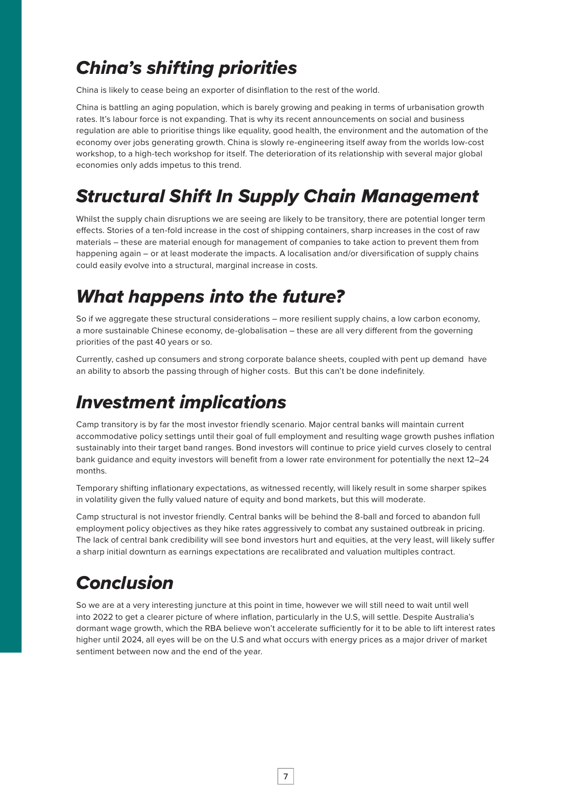# *China's shifting priorities*

China is likely to cease being an exporter of disinflation to the rest of the world.

China is battling an aging population, which is barely growing and peaking in terms of urbanisation growth rates. It's labour force is not expanding. That is why its recent announcements on social and business regulation are able to prioritise things like equality, good health, the environment and the automation of the economy over jobs generating growth. China is slowly re-engineering itself away from the worlds low-cost workshop, to a high-tech workshop for itself. The deterioration of its relationship with several major global economies only adds impetus to this trend.

# *Structural Shift In Supply Chain Management*

Whilst the supply chain disruptions we are seeing are likely to be transitory, there are potential longer term effects. Stories of a ten-fold increase in the cost of shipping containers, sharp increases in the cost of raw materials – these are material enough for management of companies to take action to prevent them from happening again – or at least moderate the impacts. A localisation and/or diversification of supply chains could easily evolve into a structural, marginal increase in costs.

### *What happens into the future?*

So if we aggregate these structural considerations – more resilient supply chains, a low carbon economy, a more sustainable Chinese economy, de-globalisation – these are all very different from the governing priorities of the past 40 years or so.

Currently, cashed up consumers and strong corporate balance sheets, coupled with pent up demand have an ability to absorb the passing through of higher costs. But this can't be done indefinitely.

# *Investment implications*

Camp transitory is by far the most investor friendly scenario. Major central banks will maintain current accommodative policy settings until their goal of full employment and resulting wage growth pushes inflation sustainably into their target band ranges. Bond investors will continue to price yield curves closely to central bank guidance and equity investors will benefit from a lower rate environment for potentially the next 12–24 months.

Temporary shifting inflationary expectations, as witnessed recently, will likely result in some sharper spikes in volatility given the fully valued nature of equity and bond markets, but this will moderate.

Camp structural is not investor friendly. Central banks will be behind the 8-ball and forced to abandon full employment policy objectives as they hike rates aggressively to combat any sustained outbreak in pricing. The lack of central bank credibility will see bond investors hurt and equities, at the very least, will likely suffer a sharp initial downturn as earnings expectations are recalibrated and valuation multiples contract.

# *Conclusion*

So we are at a very interesting juncture at this point in time, however we will still need to wait until well into 2022 to get a clearer picture of where inflation, particularly in the U.S, will settle. Despite Australia's dormant wage growth, which the RBA believe won't accelerate sufficiently for it to be able to lift interest rates higher until 2024, all eyes will be on the U.S and what occurs with energy prices as a major driver of market sentiment between now and the end of the year.